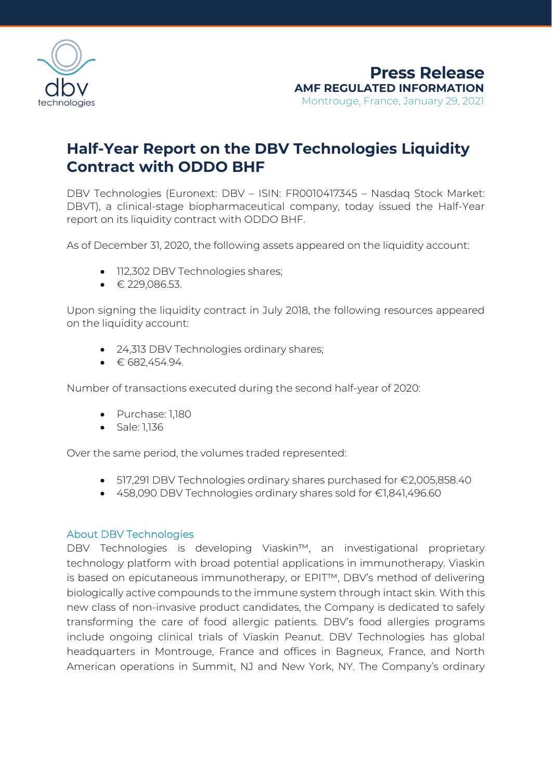

## **Half-Year Report on the DBV Technologies Liquidity Contract with ODDO BHF**

DBV Technologies (Euronext: DBV – ISIN: FR0010417345 – Nasdaq Stock Market: DBVT), a clinical-stage biopharmaceutical company, today issued the Half-Year report on its liquidity contract with ODDO BHF.

As of December 31, 2020, the following assets appeared on the liquidity account:

- 112,302 DBV Technologies shares;
- $\bullet$   $\in$  229,086.53.

Upon signing the liquidity contract in July 2018, the following resources appeared on the liquidity account:

- 24,313 DBV Technologies ordinary shares;
- $\bullet$   $\in$  682,454.94.

Number of transactions executed during the second half-year of 2020:

- Purchase: 1,180
- Sale: 1,136

Over the same period, the volumes traded represented:

- 517,291 DBV Technologies ordinary shares purchased for €2,005,858.40
- 458,090 DBV Technologies ordinary shares sold for €1,841,496.60

## About DBV Technologies

DBV Technologies is developing Viaskin™, an investigational proprietary technology platform with broad potential applications in immunotherapy. Viaskin is based on epicutaneous immunotherapy, or EPIT™, DBV's method of delivering biologically active compounds to the immune system through intact skin. With this new class of non-invasive product candidates, the Company is dedicated to safely transforming the care of food allergic patients. DBV's food allergies programs include ongoing clinical trials of Viaskin Peanut. DBV Technologies has global headquarters in Montrouge, France and offices in Bagneux, France, and North American operations in Summit, NJ and New York, NY. The Company's ordinary